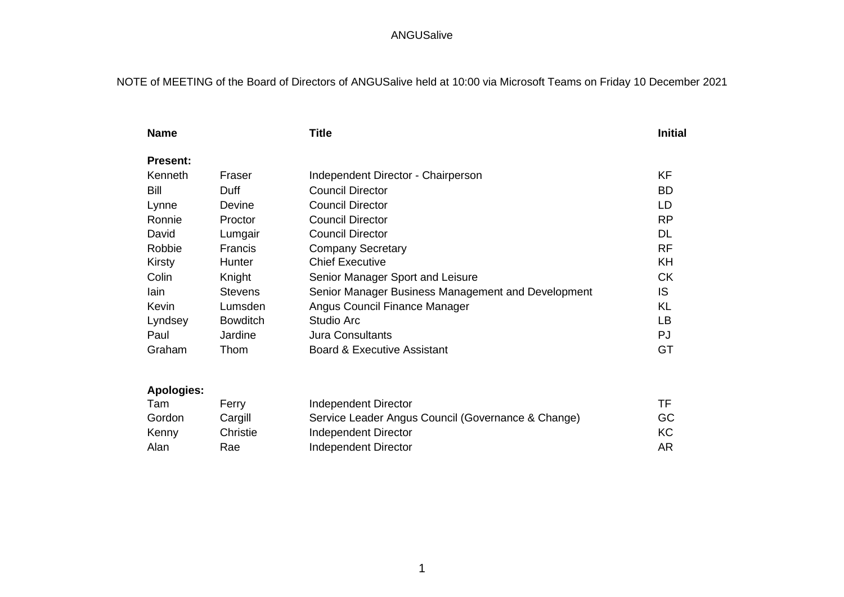# NOTE of MEETING of the Board of Directors of ANGUSalive held at 10:00 via Microsoft Teams on Friday 10 December 2021

| <b>Name</b>     |                 | <b>Title</b>                                       | <b>Initial</b> |
|-----------------|-----------------|----------------------------------------------------|----------------|
| <b>Present:</b> |                 |                                                    |                |
| Kenneth         | Fraser          | Independent Director - Chairperson                 | ΚF             |
| Bill            | Duff            | <b>Council Director</b>                            | <b>BD</b>      |
| Lynne           | Devine          | <b>Council Director</b>                            | LD             |
| Ronnie          | Proctor         | <b>Council Director</b>                            | <b>RP</b>      |
| David           | Lumgair         | <b>Council Director</b>                            | DL             |
| Robbie          | <b>Francis</b>  | <b>Company Secretary</b>                           | <b>RF</b>      |
| Kirsty          | Hunter          | <b>Chief Executive</b>                             | KH             |
| Colin           | Knight          | Senior Manager Sport and Leisure                   | <b>CK</b>      |
| lain            | <b>Stevens</b>  | Senior Manager Business Management and Development | IS             |
| Kevin           | Lumsden         | Angus Council Finance Manager                      | KL             |
| Lyndsey         | <b>Bowditch</b> | Studio Arc                                         | LB             |
| Paul            | Jardine         | <b>Jura Consultants</b>                            | PJ             |
| Graham          | Thom            | Board & Executive Assistant                        | GT             |
|                 |                 |                                                    |                |

# **Apologies:**

| Tam    | Ferry    | Independent Director                               | TF.       |
|--------|----------|----------------------------------------------------|-----------|
| Gordon | Cargill  | Service Leader Angus Council (Governance & Change) | GC        |
| Kenny  | Christie | Independent Director                               | <b>KC</b> |
| Alan   | Rae      | Independent Director                               | AR        |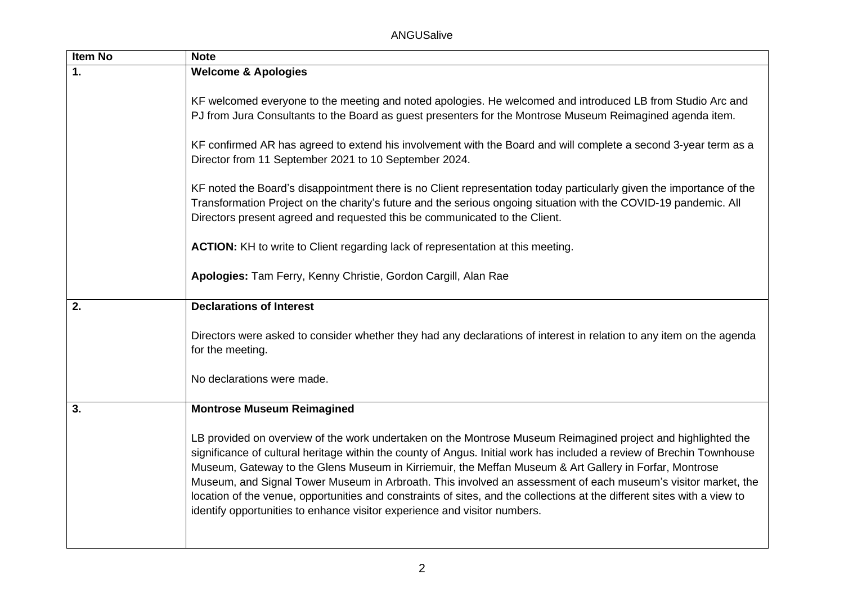| <b>ANGUSalive</b> |  |
|-------------------|--|
|-------------------|--|

| <b>Item No</b> | <b>Note</b>                                                                                                                                                                                                                                                                                                                                                                                                                                                                                                                                                                                                                                                               |  |
|----------------|---------------------------------------------------------------------------------------------------------------------------------------------------------------------------------------------------------------------------------------------------------------------------------------------------------------------------------------------------------------------------------------------------------------------------------------------------------------------------------------------------------------------------------------------------------------------------------------------------------------------------------------------------------------------------|--|
| 1.             | <b>Welcome &amp; Apologies</b>                                                                                                                                                                                                                                                                                                                                                                                                                                                                                                                                                                                                                                            |  |
|                | KF welcomed everyone to the meeting and noted apologies. He welcomed and introduced LB from Studio Arc and<br>PJ from Jura Consultants to the Board as guest presenters for the Montrose Museum Reimagined agenda item.                                                                                                                                                                                                                                                                                                                                                                                                                                                   |  |
|                | KF confirmed AR has agreed to extend his involvement with the Board and will complete a second 3-year term as a<br>Director from 11 September 2021 to 10 September 2024.                                                                                                                                                                                                                                                                                                                                                                                                                                                                                                  |  |
|                | KF noted the Board's disappointment there is no Client representation today particularly given the importance of the<br>Transformation Project on the charity's future and the serious ongoing situation with the COVID-19 pandemic. All<br>Directors present agreed and requested this be communicated to the Client.                                                                                                                                                                                                                                                                                                                                                    |  |
|                | ACTION: KH to write to Client regarding lack of representation at this meeting.                                                                                                                                                                                                                                                                                                                                                                                                                                                                                                                                                                                           |  |
|                | Apologies: Tam Ferry, Kenny Christie, Gordon Cargill, Alan Rae                                                                                                                                                                                                                                                                                                                                                                                                                                                                                                                                                                                                            |  |
| 2.             | <b>Declarations of Interest</b>                                                                                                                                                                                                                                                                                                                                                                                                                                                                                                                                                                                                                                           |  |
|                | Directors were asked to consider whether they had any declarations of interest in relation to any item on the agenda<br>for the meeting.                                                                                                                                                                                                                                                                                                                                                                                                                                                                                                                                  |  |
|                | No declarations were made.                                                                                                                                                                                                                                                                                                                                                                                                                                                                                                                                                                                                                                                |  |
| 3.             | <b>Montrose Museum Reimagined</b>                                                                                                                                                                                                                                                                                                                                                                                                                                                                                                                                                                                                                                         |  |
|                | LB provided on overview of the work undertaken on the Montrose Museum Reimagined project and highlighted the<br>significance of cultural heritage within the county of Angus. Initial work has included a review of Brechin Townhouse<br>Museum, Gateway to the Glens Museum in Kirriemuir, the Meffan Museum & Art Gallery in Forfar, Montrose<br>Museum, and Signal Tower Museum in Arbroath. This involved an assessment of each museum's visitor market, the<br>location of the venue, opportunities and constraints of sites, and the collections at the different sites with a view to<br>identify opportunities to enhance visitor experience and visitor numbers. |  |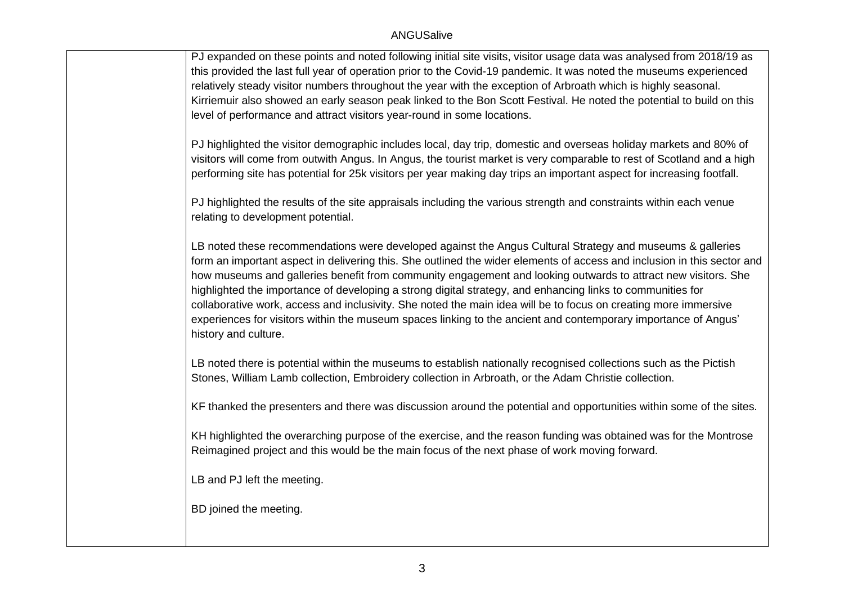PJ expanded on these points and noted following initial site visits, visitor usage data was analysed from 2018/19 as this provided the last full year of operation prior to the Covid-19 pandemic. It was noted the museums experienced relatively steady visitor numbers throughout the year with the exception of Arbroath which is highly seasonal. Kirriemuir also showed an early season peak linked to the Bon Scott Festival. He noted the potential to build on this level of performance and attract visitors year-round in some locations.

PJ highlighted the visitor demographic includes local, day trip, domestic and overseas holiday markets and 80% of visitors will come from outwith Angus. In Angus, the tourist market is very comparable to rest of Scotland and a high performing site has potential for 25k visitors per year making day trips an important aspect for increasing footfall.

PJ highlighted the results of the site appraisals including the various strength and constraints within each venue relating to development potential.

LB noted these recommendations were developed against the Angus Cultural Strategy and museums & galleries form an important aspect in delivering this. She outlined the wider elements of access and inclusion in this sector and how museums and galleries benefit from community engagement and looking outwards to attract new visitors. She highlighted the importance of developing a strong digital strategy, and enhancing links to communities for collaborative work, access and inclusivity. She noted the main idea will be to focus on creating more immersive experiences for visitors within the museum spaces linking to the ancient and contemporary importance of Angus' history and culture.

LB noted there is potential within the museums to establish nationally recognised collections such as the Pictish Stones, William Lamb collection, Embroidery collection in Arbroath, or the Adam Christie collection.

KF thanked the presenters and there was discussion around the potential and opportunities within some of the sites.

KH highlighted the overarching purpose of the exercise, and the reason funding was obtained was for the Montrose Reimagined project and this would be the main focus of the next phase of work moving forward.

LB and PJ left the meeting.

BD joined the meeting.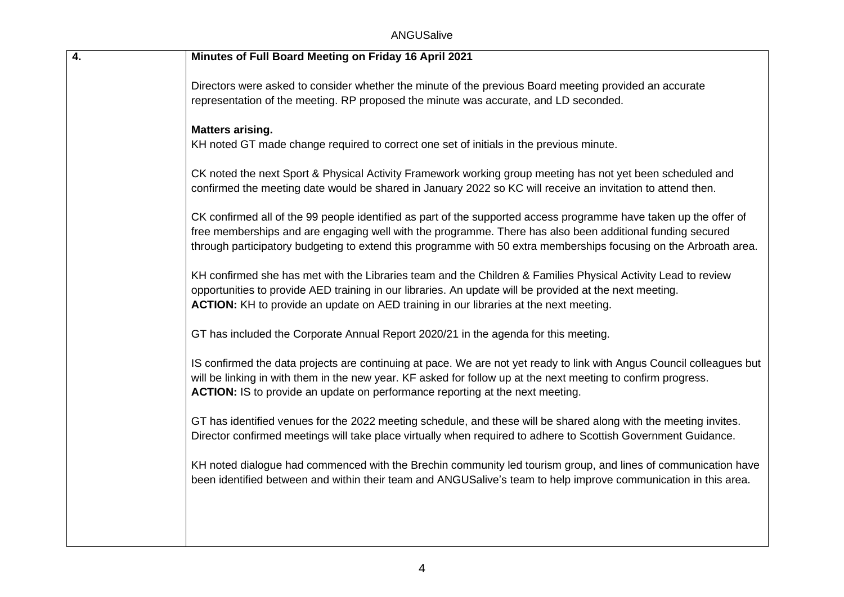| 4. | Minutes of Full Board Meeting on Friday 16 April 2021                                                                                                                                                                                                                                                                                               |
|----|-----------------------------------------------------------------------------------------------------------------------------------------------------------------------------------------------------------------------------------------------------------------------------------------------------------------------------------------------------|
|    | Directors were asked to consider whether the minute of the previous Board meeting provided an accurate<br>representation of the meeting. RP proposed the minute was accurate, and LD seconded.                                                                                                                                                      |
|    | <b>Matters arising.</b><br>KH noted GT made change required to correct one set of initials in the previous minute.                                                                                                                                                                                                                                  |
|    | CK noted the next Sport & Physical Activity Framework working group meeting has not yet been scheduled and<br>confirmed the meeting date would be shared in January 2022 so KC will receive an invitation to attend then.                                                                                                                           |
|    | CK confirmed all of the 99 people identified as part of the supported access programme have taken up the offer of<br>free memberships and are engaging well with the programme. There has also been additional funding secured<br>through participatory budgeting to extend this programme with 50 extra memberships focusing on the Arbroath area. |
|    | KH confirmed she has met with the Libraries team and the Children & Families Physical Activity Lead to review<br>opportunities to provide AED training in our libraries. An update will be provided at the next meeting.<br>ACTION: KH to provide an update on AED training in our libraries at the next meeting.                                   |
|    | GT has included the Corporate Annual Report 2020/21 in the agenda for this meeting.                                                                                                                                                                                                                                                                 |
|    | IS confirmed the data projects are continuing at pace. We are not yet ready to link with Angus Council colleagues but<br>will be linking in with them in the new year. KF asked for follow up at the next meeting to confirm progress.<br>ACTION: IS to provide an update on performance reporting at the next meeting.                             |
|    | GT has identified venues for the 2022 meeting schedule, and these will be shared along with the meeting invites.<br>Director confirmed meetings will take place virtually when required to adhere to Scottish Government Guidance.                                                                                                                  |
|    | KH noted dialogue had commenced with the Brechin community led tourism group, and lines of communication have<br>been identified between and within their team and ANGUSalive's team to help improve communication in this area.                                                                                                                    |
|    |                                                                                                                                                                                                                                                                                                                                                     |
|    |                                                                                                                                                                                                                                                                                                                                                     |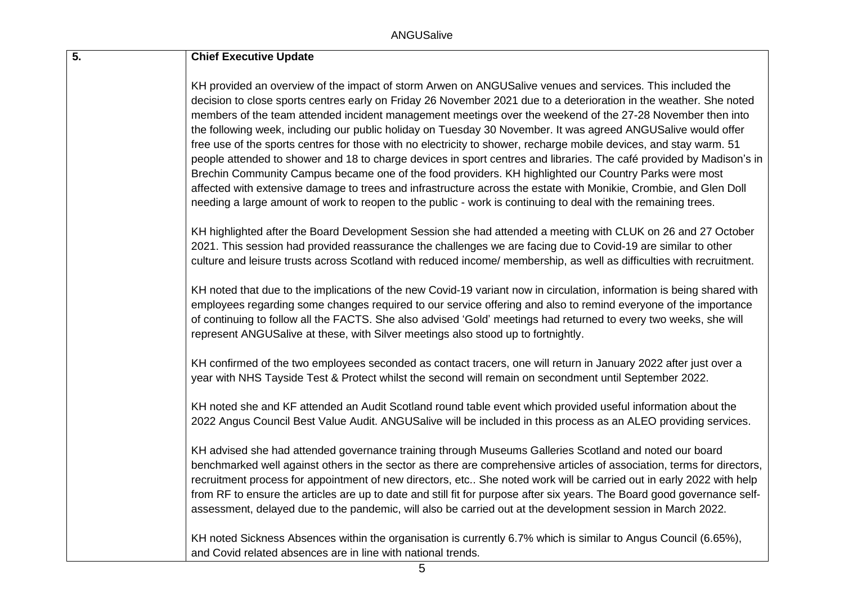| 5. | <b>Chief Executive Update</b>                                                                                                                                                                                                                                                                                                                                                                                                                                                                                                                                                                                                                                                                                                                                                                                                                                                                                                                                                                                                                               |
|----|-------------------------------------------------------------------------------------------------------------------------------------------------------------------------------------------------------------------------------------------------------------------------------------------------------------------------------------------------------------------------------------------------------------------------------------------------------------------------------------------------------------------------------------------------------------------------------------------------------------------------------------------------------------------------------------------------------------------------------------------------------------------------------------------------------------------------------------------------------------------------------------------------------------------------------------------------------------------------------------------------------------------------------------------------------------|
|    | KH provided an overview of the impact of storm Arwen on ANGUSalive venues and services. This included the<br>decision to close sports centres early on Friday 26 November 2021 due to a deterioration in the weather. She noted<br>members of the team attended incident management meetings over the weekend of the 27-28 November then into<br>the following week, including our public holiday on Tuesday 30 November. It was agreed ANGUSalive would offer<br>free use of the sports centres for those with no electricity to shower, recharge mobile devices, and stay warm. 51<br>people attended to shower and 18 to charge devices in sport centres and libraries. The café provided by Madison's in<br>Brechin Community Campus became one of the food providers. KH highlighted our Country Parks were most<br>affected with extensive damage to trees and infrastructure across the estate with Monikie, Crombie, and Glen Doll<br>needing a large amount of work to reopen to the public - work is continuing to deal with the remaining trees. |
|    | KH highlighted after the Board Development Session she had attended a meeting with CLUK on 26 and 27 October<br>2021. This session had provided reassurance the challenges we are facing due to Covid-19 are similar to other<br>culture and leisure trusts across Scotland with reduced income/ membership, as well as difficulties with recruitment.                                                                                                                                                                                                                                                                                                                                                                                                                                                                                                                                                                                                                                                                                                      |
|    | KH noted that due to the implications of the new Covid-19 variant now in circulation, information is being shared with<br>employees regarding some changes required to our service offering and also to remind everyone of the importance<br>of continuing to follow all the FACTS. She also advised 'Gold' meetings had returned to every two weeks, she will<br>represent ANGUSalive at these, with Silver meetings also stood up to fortnightly.                                                                                                                                                                                                                                                                                                                                                                                                                                                                                                                                                                                                         |
|    | KH confirmed of the two employees seconded as contact tracers, one will return in January 2022 after just over a<br>year with NHS Tayside Test & Protect whilst the second will remain on secondment until September 2022.                                                                                                                                                                                                                                                                                                                                                                                                                                                                                                                                                                                                                                                                                                                                                                                                                                  |
|    | KH noted she and KF attended an Audit Scotland round table event which provided useful information about the<br>2022 Angus Council Best Value Audit. ANGUSalive will be included in this process as an ALEO providing services.                                                                                                                                                                                                                                                                                                                                                                                                                                                                                                                                                                                                                                                                                                                                                                                                                             |
|    | KH advised she had attended governance training through Museums Galleries Scotland and noted our board<br>benchmarked well against others in the sector as there are comprehensive articles of association, terms for directors,<br>recruitment process for appointment of new directors, etc She noted work will be carried out in early 2022 with help<br>from RF to ensure the articles are up to date and still fit for purpose after six years. The Board good governance self-<br>assessment, delayed due to the pandemic, will also be carried out at the development session in March 2022.                                                                                                                                                                                                                                                                                                                                                                                                                                                         |
|    | KH noted Sickness Absences within the organisation is currently 6.7% which is similar to Angus Council (6.65%),<br>and Covid related absences are in line with national trends.                                                                                                                                                                                                                                                                                                                                                                                                                                                                                                                                                                                                                                                                                                                                                                                                                                                                             |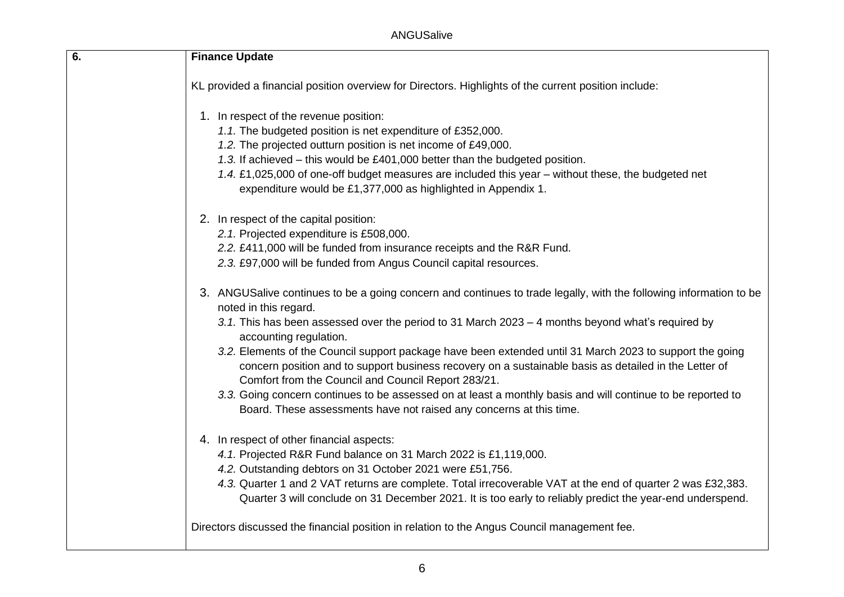ANGUSalive

| 6. | <b>Finance Update</b>                                                                                                                                                                                                                                                    |
|----|--------------------------------------------------------------------------------------------------------------------------------------------------------------------------------------------------------------------------------------------------------------------------|
|    | KL provided a financial position overview for Directors. Highlights of the current position include:                                                                                                                                                                     |
|    | 1. In respect of the revenue position:                                                                                                                                                                                                                                   |
|    | 1.1. The budgeted position is net expenditure of £352,000.                                                                                                                                                                                                               |
|    | 1.2. The projected outturn position is net income of £49,000.                                                                                                                                                                                                            |
|    | 1.3. If achieved – this would be £401,000 better than the budgeted position.                                                                                                                                                                                             |
|    | 1.4. £1,025,000 of one-off budget measures are included this year – without these, the budgeted net<br>expenditure would be £1,377,000 as highlighted in Appendix 1.                                                                                                     |
|    | 2. In respect of the capital position:                                                                                                                                                                                                                                   |
|    | 2.1. Projected expenditure is £508,000.                                                                                                                                                                                                                                  |
|    | 2.2. £411,000 will be funded from insurance receipts and the R&R Fund.                                                                                                                                                                                                   |
|    | 2.3. £97,000 will be funded from Angus Council capital resources.                                                                                                                                                                                                        |
|    | 3. ANGUSalive continues to be a going concern and continues to trade legally, with the following information to be<br>noted in this regard.                                                                                                                              |
|    | 3.1. This has been assessed over the period to 31 March 2023 – 4 months beyond what's required by<br>accounting regulation.                                                                                                                                              |
|    | 3.2. Elements of the Council support package have been extended until 31 March 2023 to support the going<br>concern position and to support business recovery on a sustainable basis as detailed in the Letter of<br>Comfort from the Council and Council Report 283/21. |
|    | 3.3. Going concern continues to be assessed on at least a monthly basis and will continue to be reported to<br>Board. These assessments have not raised any concerns at this time.                                                                                       |
|    | 4. In respect of other financial aspects:                                                                                                                                                                                                                                |
|    | 4.1. Projected R&R Fund balance on 31 March 2022 is £1,119,000.                                                                                                                                                                                                          |
|    | 4.2. Outstanding debtors on 31 October 2021 were £51,756.                                                                                                                                                                                                                |
|    | 4.3. Quarter 1 and 2 VAT returns are complete. Total irrecoverable VAT at the end of quarter 2 was £32,383.<br>Quarter 3 will conclude on 31 December 2021. It is too early to reliably predict the year-end underspend.                                                 |
|    | Directors discussed the financial position in relation to the Angus Council management fee.                                                                                                                                                                              |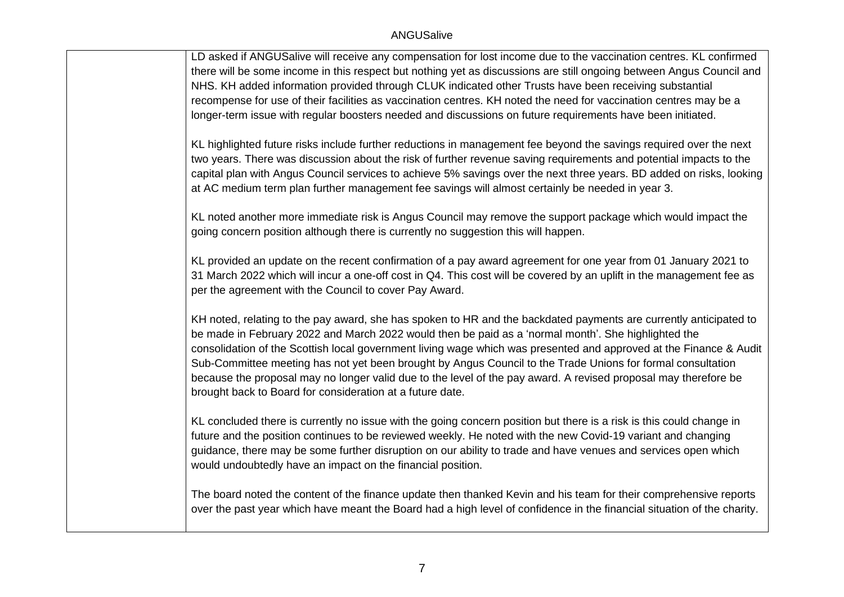LD asked if ANGUSalive will receive any compensation for lost income due to the vaccination centres. KL confirmed there will be some income in this respect but nothing yet as discussions are still ongoing between Angus Council and NHS. KH added information provided through CLUK indicated other Trusts have been receiving substantial recompense for use of their facilities as vaccination centres. KH noted the need for vaccination centres may be a longer-term issue with regular boosters needed and discussions on future requirements have been initiated.

KL highlighted future risks include further reductions in management fee beyond the savings required over the next two years. There was discussion about the risk of further revenue saving requirements and potential impacts to the capital plan with Angus Council services to achieve 5% savings over the next three years. BD added on risks, looking at AC medium term plan further management fee savings will almost certainly be needed in year 3.

KL noted another more immediate risk is Angus Council may remove the support package which would impact the going concern position although there is currently no suggestion this will happen.

KL provided an update on the recent confirmation of a pay award agreement for one year from 01 January 2021 to 31 March 2022 which will incur a one-off cost in Q4. This cost will be covered by an uplift in the management fee as per the agreement with the Council to cover Pay Award.

KH noted, relating to the pay award, she has spoken to HR and the backdated payments are currently anticipated to be made in February 2022 and March 2022 would then be paid as a 'normal month'. She highlighted the consolidation of the Scottish local government living wage which was presented and approved at the Finance & Audit Sub-Committee meeting has not yet been brought by Angus Council to the Trade Unions for formal consultation because the proposal may no longer valid due to the level of the pay award. A revised proposal may therefore be brought back to Board for consideration at a future date.

KL concluded there is currently no issue with the going concern position but there is a risk is this could change in future and the position continues to be reviewed weekly. He noted with the new Covid-19 variant and changing guidance, there may be some further disruption on our ability to trade and have venues and services open which would undoubtedly have an impact on the financial position.

The board noted the content of the finance update then thanked Kevin and his team for their comprehensive reports over the past year which have meant the Board had a high level of confidence in the financial situation of the charity.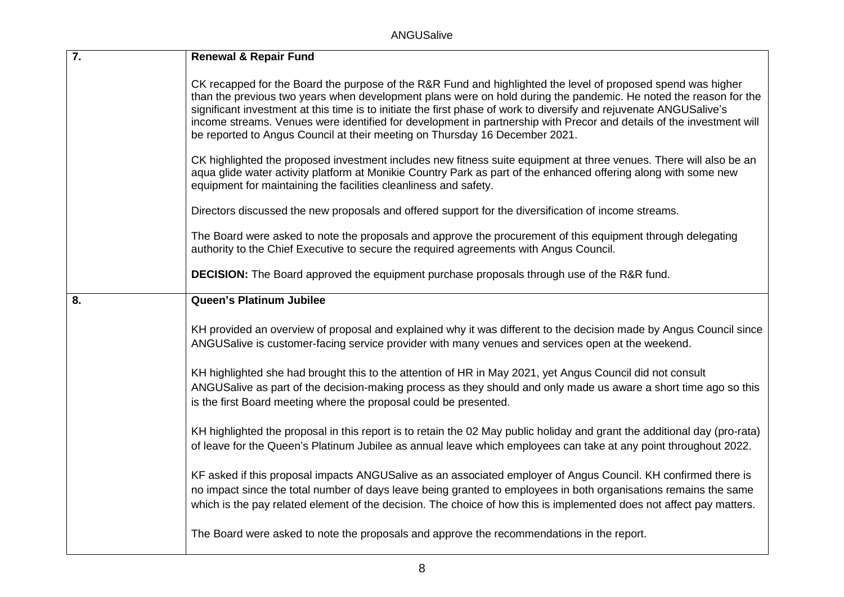| $\overline{7}$ . | <b>Renewal &amp; Repair Fund</b>                                                                                                                                                                                                                                                                                                                                                                                                                                                                                                                               |
|------------------|----------------------------------------------------------------------------------------------------------------------------------------------------------------------------------------------------------------------------------------------------------------------------------------------------------------------------------------------------------------------------------------------------------------------------------------------------------------------------------------------------------------------------------------------------------------|
|                  | CK recapped for the Board the purpose of the R&R Fund and highlighted the level of proposed spend was higher<br>than the previous two years when development plans were on hold during the pandemic. He noted the reason for the<br>significant investment at this time is to initiate the first phase of work to diversify and rejuvenate ANGUSalive's<br>income streams. Venues were identified for development in partnership with Precor and details of the investment will<br>be reported to Angus Council at their meeting on Thursday 16 December 2021. |
|                  | CK highlighted the proposed investment includes new fitness suite equipment at three venues. There will also be an<br>aqua glide water activity platform at Monikie Country Park as part of the enhanced offering along with some new<br>equipment for maintaining the facilities cleanliness and safety.                                                                                                                                                                                                                                                      |
|                  | Directors discussed the new proposals and offered support for the diversification of income streams.                                                                                                                                                                                                                                                                                                                                                                                                                                                           |
|                  | The Board were asked to note the proposals and approve the procurement of this equipment through delegating<br>authority to the Chief Executive to secure the required agreements with Angus Council.                                                                                                                                                                                                                                                                                                                                                          |
|                  | <b>DECISION:</b> The Board approved the equipment purchase proposals through use of the R&R fund.                                                                                                                                                                                                                                                                                                                                                                                                                                                              |
| 8.               | Queen's Platinum Jubilee                                                                                                                                                                                                                                                                                                                                                                                                                                                                                                                                       |
|                  | KH provided an overview of proposal and explained why it was different to the decision made by Angus Council since<br>ANGUSalive is customer-facing service provider with many venues and services open at the weekend.                                                                                                                                                                                                                                                                                                                                        |
|                  | KH highlighted she had brought this to the attention of HR in May 2021, yet Angus Council did not consult<br>ANGUSalive as part of the decision-making process as they should and only made us aware a short time ago so this<br>is the first Board meeting where the proposal could be presented.                                                                                                                                                                                                                                                             |
|                  | KH highlighted the proposal in this report is to retain the 02 May public holiday and grant the additional day (pro-rata)<br>of leave for the Queen's Platinum Jubilee as annual leave which employees can take at any point throughout 2022.                                                                                                                                                                                                                                                                                                                  |
|                  | KF asked if this proposal impacts ANGUSalive as an associated employer of Angus Council. KH confirmed there is<br>no impact since the total number of days leave being granted to employees in both organisations remains the same<br>which is the pay related element of the decision. The choice of how this is implemented does not affect pay matters.                                                                                                                                                                                                     |
|                  | The Board were asked to note the proposals and approve the recommendations in the report.                                                                                                                                                                                                                                                                                                                                                                                                                                                                      |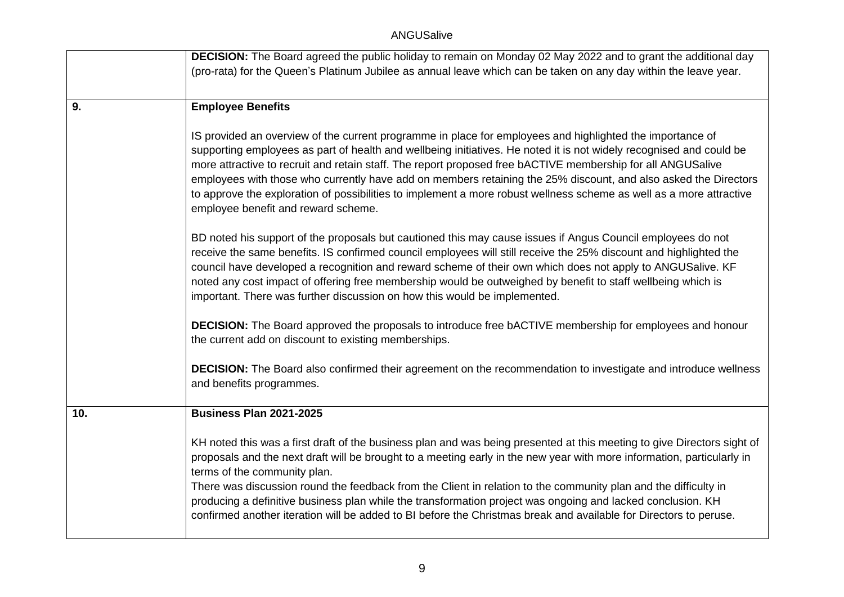|     | <b>DECISION:</b> The Board agreed the public holiday to remain on Monday 02 May 2022 and to grant the additional day<br>(pro-rata) for the Queen's Platinum Jubilee as annual leave which can be taken on any day within the leave year.                                                                                                                                                                                                                                                                                                                                                                                                 |
|-----|------------------------------------------------------------------------------------------------------------------------------------------------------------------------------------------------------------------------------------------------------------------------------------------------------------------------------------------------------------------------------------------------------------------------------------------------------------------------------------------------------------------------------------------------------------------------------------------------------------------------------------------|
| 9.  | <b>Employee Benefits</b>                                                                                                                                                                                                                                                                                                                                                                                                                                                                                                                                                                                                                 |
|     | IS provided an overview of the current programme in place for employees and highlighted the importance of<br>supporting employees as part of health and wellbeing initiatives. He noted it is not widely recognised and could be<br>more attractive to recruit and retain staff. The report proposed free bACTIVE membership for all ANGUSalive<br>employees with those who currently have add on members retaining the 25% discount, and also asked the Directors<br>to approve the exploration of possibilities to implement a more robust wellness scheme as well as a more attractive<br>employee benefit and reward scheme.         |
|     | BD noted his support of the proposals but cautioned this may cause issues if Angus Council employees do not<br>receive the same benefits. IS confirmed council employees will still receive the 25% discount and highlighted the<br>council have developed a recognition and reward scheme of their own which does not apply to ANGUSalive. KF<br>noted any cost impact of offering free membership would be outweighed by benefit to staff wellbeing which is<br>important. There was further discussion on how this would be implemented.                                                                                              |
|     | <b>DECISION:</b> The Board approved the proposals to introduce free bACTIVE membership for employees and honour<br>the current add on discount to existing memberships.                                                                                                                                                                                                                                                                                                                                                                                                                                                                  |
|     | <b>DECISION:</b> The Board also confirmed their agreement on the recommendation to investigate and introduce wellness<br>and benefits programmes.                                                                                                                                                                                                                                                                                                                                                                                                                                                                                        |
| 10. | <b>Business Plan 2021-2025</b>                                                                                                                                                                                                                                                                                                                                                                                                                                                                                                                                                                                                           |
|     | KH noted this was a first draft of the business plan and was being presented at this meeting to give Directors sight of<br>proposals and the next draft will be brought to a meeting early in the new year with more information, particularly in<br>terms of the community plan.<br>There was discussion round the feedback from the Client in relation to the community plan and the difficulty in<br>producing a definitive business plan while the transformation project was ongoing and lacked conclusion. KH<br>confirmed another iteration will be added to BI before the Christmas break and available for Directors to peruse. |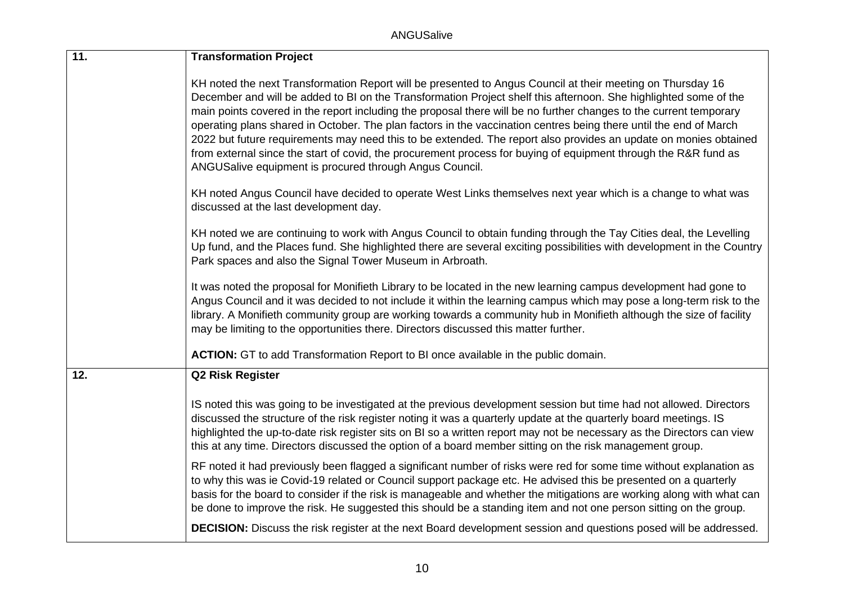| 11. | <b>Transformation Project</b>                                                                                                                                                                                                                                                                                                                                                                                                                                                                                                                                                                                                                                                                                                                                               |
|-----|-----------------------------------------------------------------------------------------------------------------------------------------------------------------------------------------------------------------------------------------------------------------------------------------------------------------------------------------------------------------------------------------------------------------------------------------------------------------------------------------------------------------------------------------------------------------------------------------------------------------------------------------------------------------------------------------------------------------------------------------------------------------------------|
|     | KH noted the next Transformation Report will be presented to Angus Council at their meeting on Thursday 16<br>December and will be added to BI on the Transformation Project shelf this afternoon. She highlighted some of the<br>main points covered in the report including the proposal there will be no further changes to the current temporary<br>operating plans shared in October. The plan factors in the vaccination centres being there until the end of March<br>2022 but future requirements may need this to be extended. The report also provides an update on monies obtained<br>from external since the start of covid, the procurement process for buying of equipment through the R&R fund as<br>ANGUSalive equipment is procured through Angus Council. |
|     | KH noted Angus Council have decided to operate West Links themselves next year which is a change to what was<br>discussed at the last development day.                                                                                                                                                                                                                                                                                                                                                                                                                                                                                                                                                                                                                      |
|     | KH noted we are continuing to work with Angus Council to obtain funding through the Tay Cities deal, the Levelling<br>Up fund, and the Places fund. She highlighted there are several exciting possibilities with development in the Country<br>Park spaces and also the Signal Tower Museum in Arbroath.                                                                                                                                                                                                                                                                                                                                                                                                                                                                   |
|     | It was noted the proposal for Monifieth Library to be located in the new learning campus development had gone to<br>Angus Council and it was decided to not include it within the learning campus which may pose a long-term risk to the<br>library. A Monifieth community group are working towards a community hub in Monifieth although the size of facility<br>may be limiting to the opportunities there. Directors discussed this matter further.                                                                                                                                                                                                                                                                                                                     |
|     | ACTION: GT to add Transformation Report to BI once available in the public domain.                                                                                                                                                                                                                                                                                                                                                                                                                                                                                                                                                                                                                                                                                          |
| 12. | <b>Q2 Risk Register</b>                                                                                                                                                                                                                                                                                                                                                                                                                                                                                                                                                                                                                                                                                                                                                     |
|     | IS noted this was going to be investigated at the previous development session but time had not allowed. Directors<br>discussed the structure of the risk register noting it was a quarterly update at the quarterly board meetings. IS<br>highlighted the up-to-date risk register sits on BI so a written report may not be necessary as the Directors can view<br>this at any time. Directors discussed the option of a board member sitting on the risk management group.                                                                                                                                                                                                                                                                                               |
|     | RF noted it had previously been flagged a significant number of risks were red for some time without explanation as<br>to why this was ie Covid-19 related or Council support package etc. He advised this be presented on a quarterly<br>basis for the board to consider if the risk is manageable and whether the mitigations are working along with what can<br>be done to improve the risk. He suggested this should be a standing item and not one person sitting on the group.                                                                                                                                                                                                                                                                                        |
|     | <b>DECISION:</b> Discuss the risk register at the next Board development session and questions posed will be addressed.                                                                                                                                                                                                                                                                                                                                                                                                                                                                                                                                                                                                                                                     |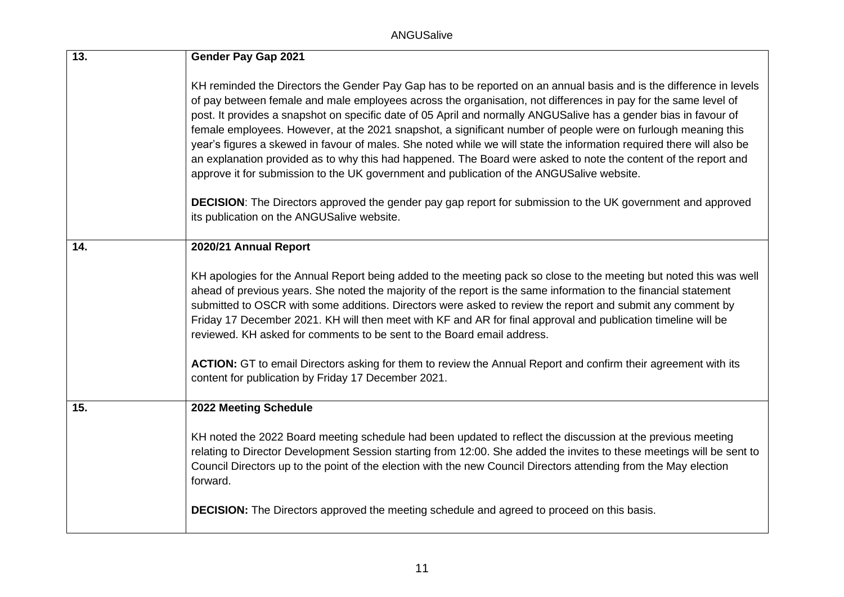| 13. | <b>Gender Pay Gap 2021</b>                                                                                                                                                                                                                                                                                                                                                                                                                                                                                                                                                                                                                                                                                                                                                                                                                                                                                                                                                             |
|-----|----------------------------------------------------------------------------------------------------------------------------------------------------------------------------------------------------------------------------------------------------------------------------------------------------------------------------------------------------------------------------------------------------------------------------------------------------------------------------------------------------------------------------------------------------------------------------------------------------------------------------------------------------------------------------------------------------------------------------------------------------------------------------------------------------------------------------------------------------------------------------------------------------------------------------------------------------------------------------------------|
|     | KH reminded the Directors the Gender Pay Gap has to be reported on an annual basis and is the difference in levels<br>of pay between female and male employees across the organisation, not differences in pay for the same level of<br>post. It provides a snapshot on specific date of 05 April and normally ANGUSalive has a gender bias in favour of<br>female employees. However, at the 2021 snapshot, a significant number of people were on furlough meaning this<br>year's figures a skewed in favour of males. She noted while we will state the information required there will also be<br>an explanation provided as to why this had happened. The Board were asked to note the content of the report and<br>approve it for submission to the UK government and publication of the ANGUSalive website.<br><b>DECISION:</b> The Directors approved the gender pay gap report for submission to the UK government and approved<br>its publication on the ANGUSalive website. |
| 14. | 2020/21 Annual Report                                                                                                                                                                                                                                                                                                                                                                                                                                                                                                                                                                                                                                                                                                                                                                                                                                                                                                                                                                  |
|     | KH apologies for the Annual Report being added to the meeting pack so close to the meeting but noted this was well<br>ahead of previous years. She noted the majority of the report is the same information to the financial statement<br>submitted to OSCR with some additions. Directors were asked to review the report and submit any comment by<br>Friday 17 December 2021. KH will then meet with KF and AR for final approval and publication timeline will be<br>reviewed. KH asked for comments to be sent to the Board email address.<br>ACTION: GT to email Directors asking for them to review the Annual Report and confirm their agreement with its<br>content for publication by Friday 17 December 2021.                                                                                                                                                                                                                                                               |
| 15. | 2022 Meeting Schedule                                                                                                                                                                                                                                                                                                                                                                                                                                                                                                                                                                                                                                                                                                                                                                                                                                                                                                                                                                  |
|     | KH noted the 2022 Board meeting schedule had been updated to reflect the discussion at the previous meeting<br>relating to Director Development Session starting from 12:00. She added the invites to these meetings will be sent to<br>Council Directors up to the point of the election with the new Council Directors attending from the May election<br>forward.<br><b>DECISION:</b> The Directors approved the meeting schedule and agreed to proceed on this basis.                                                                                                                                                                                                                                                                                                                                                                                                                                                                                                              |
|     |                                                                                                                                                                                                                                                                                                                                                                                                                                                                                                                                                                                                                                                                                                                                                                                                                                                                                                                                                                                        |